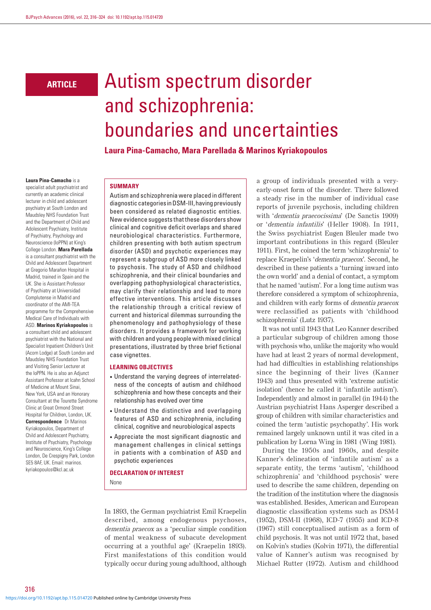## **ARTICLE**

# Autism spectrum disorder and schizophrenia: boundaries and uncertainties

**Laura Pina-Camacho, Mara Parellada & Marinos Kyriakopoulos**

#### **Laura Pina-Camacho** is a

specialist adult psychiatrist and currently an academic clinical lecturer in child and adolescent psychiatry at South London and Maudsley NHS Foundation Trust and the Department of Child and Adolescent Psychiatry, Institute of Psychiatry, Psychology and Neuroscience (IoPPN) at King's College London. **Mara Parellada** is a consultant psychiatrist with the Child and Adolescent Department at Gregorio Marañon Hospital in Madrid, trained in Spain and the UK. She is Assistant Professor of Psychiatry at Universidad Complutense in Madrid and coordinator of the AMI-TEA programme for the Comprehensive Medical Care of Individuals with ASD. **Marinos Kyriakopoulos** is a consultant child and adolescent psychiatrist with the National and Specialist Inpatient Children's Unit (Acorn Lodge) at South London and Maudsley NHS Foundation Trust and Visiting Senior Lecturer at the IoPPN. He is also an Adjunct Assistant Professor at Icahn School of Medicine at Mount Sinai, New York, USA and an Honorary Consultant at the Tourette Syndrome Clinic at Great Ormond Street Hospital for Children, London, UK. **Correspondence** Dr Marinos Kyriakopoulos, Department of Child and Adolescent Psychiatry, Institute of Psychiatry, Psychology and Neuroscience, King's College London, De Crespigny Park, London SE5 8AF, UK. Email: marinos. kyriakopoulos@kcl.ac.uk

#### **SUMMARY**

Autism and schizophrenia were placed in different diagnostic categories in DSM-III, having previously been considered as related diagnostic entities. New evidence suggests that these disorders show clinical and cognitive deficit overlaps and shared neurobiological characteristics. Furthermore, children presenting with both autism spectrum disorder (ASD) and psychotic experiences may represent a subgroup of ASD more closely linked to psychosis. The study of ASD and childhood schizophrenia, and their clinical boundaries and overlapping pathophysiological characteristics, may clarify their relationship and lead to more effective interventions. This article discusses the relationship through a critical review of current and historical dilemmas surrounding the phenomenology and pathophysiology of these disorders. It provides a framework for working with children and young people with mixed clinical presentations, illustrated by three brief fictional case vignettes.

#### **LEARNING OBJECTIVES**

- • Understand the varying degrees of interrelatedness of the concepts of autism and childhood schizophrenia and how these concepts and their relationship has evolved over time
- • Understand the distinctive and overlapping features of ASD and schizophrenia, including clinical, cognitive and neurobiological aspects
- • Appreciate the most significant diagnostic and management challenges in clinical settings in patients with a combination of ASD and psychotic experiences

## **DECLARATION OF INTEREST** None

In 1893, the German psychiatrist Emil Kraepelin described, among endogenous psychoses, dementia praecox as a 'peculiar simple condition of mental weakness of subacute development occurring at a youthful age' (Kraepelin 1893). First manifestations of this condition would typically occur during young adulthood, although a group of individuals presented with a veryearly-onset form of the disorder. There followed a steady rise in the number of individual case reports of juvenile psychosis, including children with 'dementia praecocissima' (De Sanctis 1909) or 'dementia infantilis' (Heller 1908). In 1911, the Swiss psychiatrist Eugen Bleuler made two important contributions in this regard (Bleuler 1911). First, he coined the term 'schizophrenia' to replace Kraepelin's 'dementia praecox'. Second, he described in these patients a 'turning inward into the own world' and a denial of contact, a symptom that he named 'autism'. For a long time autism was therefore considered a symptom of schizophrenia, and children with early forms of dementia praecox were reclassified as patients with 'childhood schizophrenia' (Lutz 1937).

It was not until 1943 that Leo Kanner described a particular subgroup of children among those with psychosis who, unlike the majority who would have had at least 2 years of normal development, had had difficulties in establishing relationships since the beginning of their lives (Kanner 1943) and thus presented with 'extreme autistic isolation' (hence he called it 'infantile autism'). Independently and almost in parallel (in 1944) the Austrian psychiatrist Hans Asperger described a group of children with similar characteristics and coined the term 'autistic psychopathy'. His work remained largely unknown until it was cited in a publication by Lorna Wing in 1981 (Wing 1981).

During the 1950s and 1960s, and despite Kanner's delineation of 'infantile autism' as a separate entity, the terms 'autism', 'childhood schizophrenia' and 'childhood psychosis' were used to describe the same children, depending on the tradition of the institution where the diagnosis was established. Besides, American and European diagnostic classification systems such as DSM-I (1952), DSM-II (1968), ICD-7 (1955) and ICD-8 (1967) still conceptualised autism as a form of child psychosis. It was not until 1972 that, based on Kolvin's studies (Kolvin 1971), the differential value of Kanner's autism was recognised by Michael Rutter (1972). Autism and childhood

316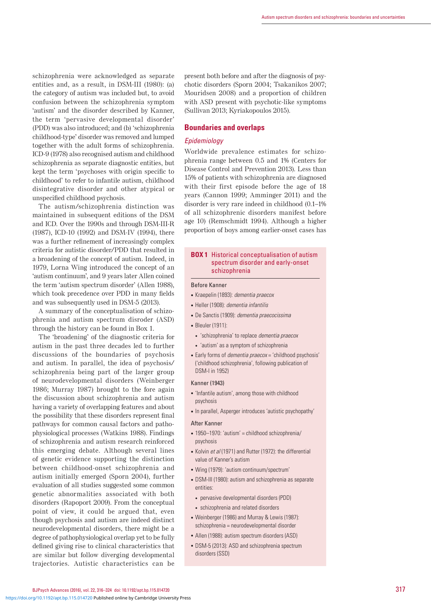schizophrenia were acknowledged as separate entities and, as a result, in DSM-III (1980): (a) the category of autism was included but, to avoid confusion between the schizophrenia symptom 'autism' and the disorder described by Kanner, the term 'pervasive developmental disorder' (PDD) was also introduced; and (b) 'schizophrenia childhood-type' disorder was removed and lumped together with the adult forms of schizophrenia. ICD-9 (1978) also recognised autism and childhood schizophrenia as separate diagnostic entities, but kept the term 'psychoses with origin specific to childhood' to refer to infantile autism, childhood disintegrative disorder and other atypical or unspecified childhood psychosis.

The autism/schizophrenia distinction was maintained in subsequent editions of the DSM and ICD. Over the 1990s and through DSM-III-R (1987), ICD-10 (1992) and DSM-IV (1994), there was a further refinement of increasingly complex criteria for autistic disorder/PDD that resulted in a broadening of the concept of autism. Indeed, in 1979, Lorna Wing introduced the concept of an 'autism continuum', and 9 years later Allen coined the term 'autism spectrum disorder' (Allen 1988), which took precedence over PDD in many fields and was subsequently used in DSM-5 (2013).

A summary of the conceptualisation of schizophrenia and autism spectrum disroder (ASD) through the history can be found in Box 1.

The 'broadening' of the diagnostic criteria for autism in the past three decades led to further discussions of the boundaries of psychosis and autism. In parallel, the idea of psychosis/ schizophrenia being part of the larger group of neurodevelopmental disorders (Weinberger 1986; Murray 1987) brought to the fore again the discussion about schizophrenia and autism having a variety of overlapping features and about the possibility that these disorders represent final pathways for common causal factors and pathophysiological processes (Watkins 1988). Findings of schizophrenia and autism research reinforced this emerging debate. Although several lines of genetic evidence supporting the distinction between childhood-onset schizophrenia and autism initially emerged (Sporn 2004), further evaluation of all studies suggested some common genetic abnormalities associated with both disorders (Rapoport 2009). From the conceptual point of view, it could be argued that, even though psychosis and autism are indeed distinct neurodevelopmental disorders, there might be a degree of pathophysiological overlap yet to be fully defined giving rise to clinical characteristics that are similar but follow diverging developmental trajectories. Autistic characteristics can be

present both before and after the diagnosis of psychotic disorders (Sporn 2004; Tsakanikos 2007; Mouridsen 2008) and a proportion of children with ASD present with psychotic-like symptoms (Sullivan 2013; Kyriakopoulos 2015).

## **Boundaries and overlaps**

## *Epidemiology*

Worldwide prevalence estimates for schizophrenia range between 0.5 and 1% (Centers for Disease Control and Prevention 2013). Less than 15% of patients with schizophrenia are diagnosed with their first episode before the age of 18 years (Cannon 1999; Amminger 2011) and the disorder is very rare indeed in childhood (0.1–1% of all schizophrenic disorders manifest before age 10) (Remschmidt 1994). Although a higher proportion of boys among earlier-onset cases has

## **BOX 1** Historical conceptualisation of autism spectrum disorder and early-onset schizophrenia

#### Before Kanner

- • Kraepelin (1893): *dementia praecox*
- • Heller (1908): *dementia infantilis*
- • De Sanctis (1909): *dementia praecocissima*
- Bleuler (1911):
	- • 'schizophrenia' to replace *dementia praecox*
	- • 'autism' as a symptom of schizophrenia
- • Early forms of *dementia praecox* = 'childhood psychosis' ('childhood schizophrenia', following publication of DSM-I in 1952)

#### Kanner (1943)

- 'Infantile autism', among those with childhood psychosis
- In parallel, Asperger introduces 'autistic psychopathy'

#### After Kanner

- 1950–1970: 'autism' = childhood schizophrenia/ psychosis
- Kolvin *et al* (1971) and Rutter (1972): the differential value of Kanner's autism
- Wing (1979): 'autism continuum/spectrum'
- DSM-III (1980): autism and schizophrenia as separate entities:
	- pervasive developmental disorders (PDD)
- • schizophrenia and related disorders
- Weinberger (1986) and Murray & Lewis (1987): schizophrenia = neurodevelopmental disorder
- Allen (1988): autism spectrum disorders (ASD)
- DSM-5 (2013): ASD and schizophrenia spectrum disorders (SSD)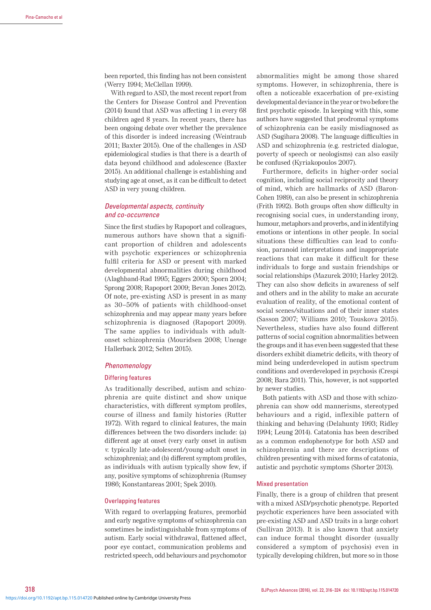been reported, this finding has not been consistent (Werry 1994; McClellan 1999).

With regard to ASD, the most recent report from the Centers for Disease Control and Prevention (2014) found that ASD was affecting 1 in every 68 children aged 8 years. In recent years, there has been ongoing debate over whether the prevalence of this disorder is indeed increasing (Weintraub 2011; Baxter 2015). One of the challenges in ASD epidemiological studies is that there is a dearth of data beyond childhood and adolescence (Baxter 2015). An additional challenge is establishing and studying age at onset, as it can be difficult to detect ASD in very young children.

## *Developmental aspects, continuity and co-occurrence*

Since the first studies by Rapoport and colleagues, numerous authors have shown that a significant proportion of children and adolescents with psychotic experiences or schizophrenia fulfil criteria for ASD or present with marked developmental abnormalities during childhood (Alaghband-Rad 1995; Eggers 2000; Sporn 2004; Sprong 2008; Rapoport 2009; Bevan Jones 2012). Of note, pre-existing ASD is present in as many as 30–50% of patients with childhood-onset schizophrenia and may appear many years before schizophrenia is diagnosed (Rapoport 2009). The same applies to individuals with adultonset schizophrenia (Mouridsen 2008; Unenge Hallerback 2012; Selten 2015).

## *Phenomenology*

## Differing features

As traditionally described, autism and schizophrenia are quite distinct and show unique characteristics, with different symptom profiles, course of illness and family histories (Rutter 1972). With regard to clinical features, the main differences between the two disorders include: (a) different age at onset (very early onset in autism <sup>v</sup>. typically late-adolescent/young-adult onset in schizophrenia); and (b) different symptom profiles, as individuals with autism typically show few, if any, positive symptoms of schizophrenia (Rumsey 1986; Konstantareas 2001; Spek 2010).

#### Overlapping features

With regard to overlapping features, premorbid and early negative symptoms of schizophrenia can sometimes be indistinguishable from symptoms of autism. Early social withdrawal, flattened affect, poor eye contact, communication problems and restricted speech, odd behaviours and psychomotor abnormalities might be among those shared symptoms. However, in schizophrenia, there is often a noticeable exacerbation of pre-existing developmental deviance in the year or two before the first psychotic episode. In keeping with this, some authors have suggested that prodromal symptoms of schizophrenia can be easily misdiagnosed as ASD (Sugihara 2008). The language difficulties in ASD and schizophrenia (e.g. restricted dialogue, poverty of speech or neologisms) can also easily be confused (Kyriakopoulos 2007).

Furthermore, deficits in higher-order social cognition, including social reciprocity and theory of mind, which are hallmarks of ASD (Baron-Cohen 1989), can also be present in schizophrenia (Frith 1992). Both groups often show difficulty in recognising social cues, in understanding irony, humour, metaphors and proverbs, and in identifying emotions or intentions in other people. In social situations these difficulties can lead to confusion, paranoid interpretations and inappropriate reactions that can make it difficult for these individuals to forge and sustain friendships or social relationships (Mazurek 2010; Harley 2012). They can also show deficits in awareness of self and others and in the ability to make an accurate evaluation of reality, of the emotional content of social scenes/situations and of their inner states (Sasson 2007; Williams 2010; Touskova 2015). Nevertheless, studies have also found different patterns of social cognition abnormalities between the groups and it has even been suggested that these disorders exhibit diametric deficits, with theory of mind being underdeveloped in autism spectrum conditions and overdeveloped in psychosis (Crespi 2008; Bara 2011). This, however, is not supported by newer studies.

Both patients with ASD and those with schizophrenia can show odd mannerisms, stereotyped behaviours and a rigid, inflexible pattern of thinking and behaving (Delahunty 1993; Ridley 1994; Leung 2014). Catatonia has been described as a common endophenotype for both ASD and schizophrenia and there are descriptions of children presenting with mixed forms of catatonia, autistic and psychotic symptoms (Shorter 2013).

#### Mixed presentation

Finally, there is a group of children that present with a mixed ASD/psychotic phenotype. Reported psychotic experiences have been associated with pre-existing ASD and ASD traits in a large cohort (Sullivan 2013). It is also known that anxiety can induce formal thought disorder (usually considered a symptom of psychosis) even in typically developing children, but more so in those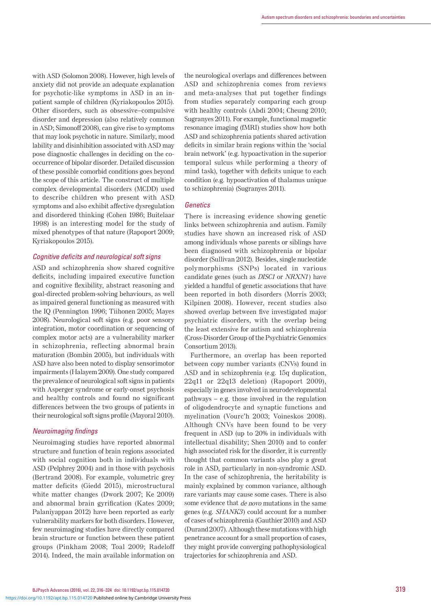with ASD (Solomon 2008). However, high levels of anxiety did not provide an adequate explanation for psychotic-like symptoms in ASD in an inpatient sample of children (Kyriakopoulos 2015). Other disorders, such as obsessive–compulsive disorder and depression (also relatively common in ASD; Simonoff 2008), can give rise to symptoms that may look psychotic in nature. Similarly, mood lability and disinhibition associated with ASD may pose diagnostic challenges in deciding on the cooccurrence of bipolar disorder. Detailed discussion of these possible comorbid conditions goes beyond the scope of this article. The construct of multiple complex developmental disorders (MCDD) used to describe children who present with ASD symptoms and also exhibit affective dysregulation and disordered thinking (Cohen 1986; Buitelaar 1998) is an interesting model for the study of mixed phenotypes of that nature (Rapoport 2009; Kyriakopoulos 2015).

## *Cognitive deficits and neurological soft signs*

ASD and schizophrenia show shared cognitive deficits, including impaired executive function and cognitive flexibility, abstract reasoning and goal-directed problem-solving behaviours, as well as impaired general functioning as measured with the IQ (Pennington 1996; Tiihonen 2005; Mayes 2008). Neurological soft signs (e.g. poor sensory integration, motor coordination or sequencing of complex motor acts) are a vulnerability marker in schizophrenia, reflecting abnormal brain maturation (Bombin 2005), but individuals with ASD have also been noted to display sensorimotor impairments (Halayem 2009). One study compared the prevalence of neurological soft signs in patients with Asperger syndrome or early-onset psychosis and healthy controls and found no significant differences between the two groups of patients in their neurological soft signs profile (Mayoral 2010).

## *Neuroimaging findings*

Neuroimaging studies have reported abnormal structure and function of brain regions associated with social cognition both in individuals with ASD (Pelphrey 2004) and in those with psychosis (Bertrand 2008). For example, volumetric grey matter deficits (Giedd 2015), microstructural white matter changes (Dwork 2007; Ke 2009) and abnormal brain gyrification (Kates 2009; Palaniyappan 2012) have been reported as early vulnerability markers for both disorders. However, few neuroimaging studies have directly compared brain structure or function between these patient groups (Pinkham 2008; Toal 2009; Radeloff 2014). Indeed, the main available information on the neurological overlaps and differences between ASD and schizophrenia comes from reviews and meta-analyses that put together findings from studies separately comparing each group with healthy controls (Abdi 2004; Cheung 2010; Sugranyes 2011). For example, functional magnetic resonance imaging (fMRI) studies show how both ASD and schizophrenia patients shared activation deficits in similar brain regions within the 'social brain network' (e.g. hypoactivation in the superior temporal sulcus while performing a theory of mind task), together with deficits unique to each condition (e.g. hypoactivation of thalamus unique to schizophrenia) (Sugranyes 2011).

## *Genetics*

There is increasing evidence showing genetic links between schizophrenia and autism. Family studies have shown an increased risk of ASD among individuals whose parents or siblings have been diagnosed with schizophrenia or bipolar disorder (Sullivan 2012). Besides, single nucleotide polymorphisms (SNPs) located in various candidate genes (such as *DISC1* or *NRXN1*) have yielded a handful of genetic associations that have been reported in both disorders (Morris 2003; Kilpinen 2008). However, recent studies also showed overlap between five investigated major psychiatric disorders, with the overlap being the least extensive for autism and schizophrenia (Cross-Disorder Group of the Psychiatric Genomics Consortium 2013).

Furthermore, an overlap has been reported between copy number variants (CNVs) found in ASD and in schizophrenia (e.g. 15q duplication, 22q11 or 22q13 deletion) (Rapoport 2009), especially in genes involved in neurodevelopmental pathways – e.g. those involved in the regulation of oligodendrocyte and synaptic functions and myelination (Vourc'h 2003; Voineskos 2008). Although CNVs have been found to be very frequent in ASD (up to 20% in individuals with intellectual disability; Shen 2010) and to confer high associated risk for the disorder, it is currently thought that common variants also play a great role in ASD, particularly in non-syndromic ASD. In the case of schizophrenia, the heritability is mainly explained by common variance, although rare variants may cause some cases. There is also some evidence that de novo mutations in the same genes (e.g. SHANK3) could account for a number of cases of schizophrenia (Gauthier 2010) and ASD (Durand 2007). Although these mutations with high penetrance account for a small proportion of cases, they might provide converging pathophysiological trajectories for schizophrenia and ASD.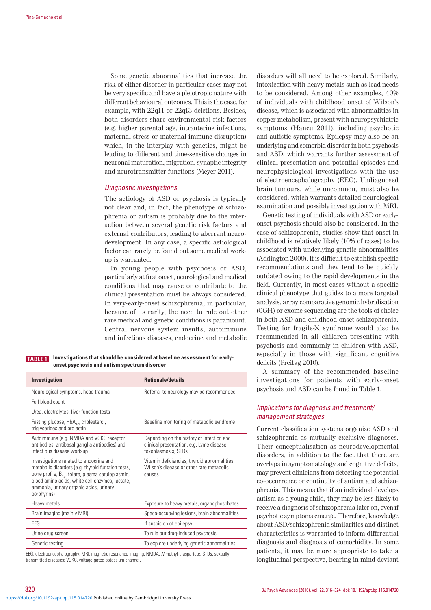Some genetic abnormalities that increase the risk of either disorder in particular cases may not be very specific and have a pleiotropic nature with different behavioural outcomes. This is the case, for example, with 22q11 or 22q13 deletions. Besides, both disorders share environmental risk factors (e.g. higher parental age, intrauterine infections, maternal stress or maternal immune disruption) which, in the interplay with genetics, might be leading to different and time-sensitive changes in neuronal maturation, migration, synaptic integrity and neurotransmitter functions (Meyer 2011).

## *Diagnostic investigations*

The aetiology of ASD or psychosis is typically not clear and, in fact, the phenotype of schizophrenia or autism is probably due to the interaction between several genetic risk factors and external contributors, leading to aberrant neurodevelopment. In any case, a specific aetiological factor can rarely be found but some medical workup is warranted.

In young people with psychosis or ASD, particularly at first onset, neurological and medical conditions that may cause or contribute to the clinical presentation must be always considered. In very-early-onset schizophrenia, in particular, because of its rarity, the need to rule out other rare medical and genetic conditions is paramount. Central nervous system insults, autoimmune and infectious diseases, endocrine and metabolic

**TABLE 1** Investigations that should be considered at baseline assessment for early**onset psychosis and autism spectrum disorder**

| Investigation                                                                                                                                                                                                                                                              | <b>Rationale/details</b>                                                                                      |
|----------------------------------------------------------------------------------------------------------------------------------------------------------------------------------------------------------------------------------------------------------------------------|---------------------------------------------------------------------------------------------------------------|
| Neurological symptoms, head trauma                                                                                                                                                                                                                                         | Referral to neurology may be recommended                                                                      |
| Full blood count                                                                                                                                                                                                                                                           |                                                                                                               |
| Urea, electrolytes, liver function tests                                                                                                                                                                                                                                   |                                                                                                               |
| Fasting glucose, HbA <sub>1c</sub> , cholesterol,<br>triglycerides and prolactin                                                                                                                                                                                           | Baseline monitoring of metabolic syndrome                                                                     |
| Autoimmune (e.g. NMDA and VGKC receptor<br>antibodies, antibasal ganglia antibodies) and<br>infectious disease work-up                                                                                                                                                     | Depending on the history of infection and<br>clinical presentation, e.g. Lyme disease,<br>toxoplasmosis, STDs |
| Investigations related to endocrine and<br>metabolic disorders (e.g. thyroid function tests,<br>bone profile, B <sub>12</sub> , folate, plasma ceruloplasmin,<br>blood amino acids, white cell enzymes, lactate,<br>ammonia, urinary organic acids, urinary<br>porphyrins) | Vitamin deficiencies, thyroid abnormalities,<br>Wilson's disease or other rare metabolic<br>causes            |
| Heavy metals                                                                                                                                                                                                                                                               | Exposure to heavy metals, organophosphates                                                                    |
| Brain imaging (mainly MRI)                                                                                                                                                                                                                                                 | Space-occupying lesions, brain abnormalities                                                                  |
| <b>FFG</b>                                                                                                                                                                                                                                                                 | If suspicion of epilepsy                                                                                      |
| Urine drug screen                                                                                                                                                                                                                                                          | To rule out drug-induced psychosis                                                                            |
| Genetic testing                                                                                                                                                                                                                                                            | To explore underlying genetic abnormalities                                                                   |
|                                                                                                                                                                                                                                                                            |                                                                                                               |

EEG, electroencephalography; MBL magnetic resonance imaging; NMDA, *N*-methyl-p-aspartate; STDs, sexually transmitted diseases; VGKC, voltage-gated potassium channel.

disorders will all need to be explored. Similarly, intoxication with heavy metals such as lead needs to be considered. Among other examples, 40% of individuals with childhood onset of Wilson's disease, which is associated with abnormalities in copper metabolism, present with neuropsychiatric symptoms (Hancu 2011), including psychotic and autistic symptoms. Epilepsy may also be an underlying and comorbid disorder in both psychosis and ASD, which warrants further assessment of clinical presentation and potential episodes and neurophysiological investigations with the use of electroencephalography (EEG). Undiagnosed brain tumours, while uncommon, must also be considered, which warrants detailed neurological examination and possibly investigation with MRI.

Genetic testing of individuals with ASD or earlyonset psychosis should also be considered. In the case of schizophrenia, studies show that onset in childhood is relatively likely (10% of cases) to be associated with underlying genetic abnormalities (Addington 2009). It is difficult to establish specific recommendations and they tend to be quickly outdated owing to the rapid developments in the field. Currently, in most cases without a specific clinical phenotype that guides to a more targeted analysis, array comparative genomic hybridisation (CGH) or exome sequencing are the tools of choice in both ASD and childhood-onset schizophrenia. Testing for fragile-X syndrome would also be recommended in all children presenting with psychosis and commonly in children with ASD, especially in those with significant cognitive deficits (Freitag 2010).

A summary of the recommended baseline investigations for patients with early-onset psychosis and ASD can be found in Table 1.

## *Implications for diagnosis and treatment/ management strategies*

Current classification systems organise ASD and schizophrenia as mutually exclusive diagnoses. Their conceptualisation as neurodevelopmental disorders, in addition to the fact that there are overlaps in symptomatology and cognitive deficits, may prevent clinicians from detecting the potential co-occurrence or continuity of autism and schizophrenia. This means that if an individual develops autism as a young child, they may be less likely to receive a diagnosis of schizophrenia later on, even if psychotic symptoms emerge. Therefore, knowledge about ASD/schizophrenia similarities and distinct characteristics is warranted to inform differential diagnosis and diagnosis of comorbidity. In some patients, it may be more appropriate to take a longitudinal perspective, bearing in mind deviant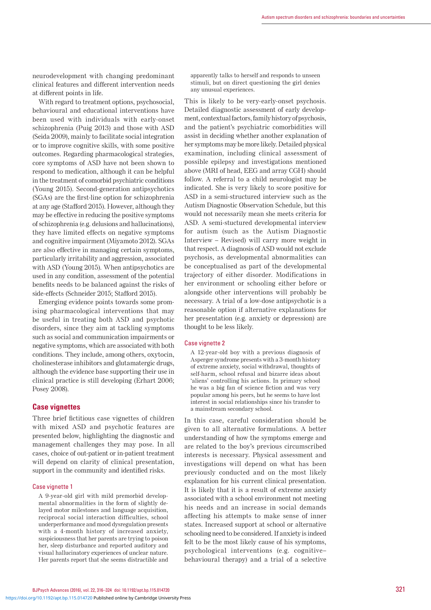neurodevelopment with changing predominant clinical features and different intervention needs at different points in life.

With regard to treatment options, psychosocial, behavioural and educational interventions have been used with individuals with early-onset schizophrenia (Puig 2013) and those with ASD (Seida 2009), mainly to facilitate social integration or to improve cognitive skills, with some positive outcomes. Regarding pharmacological strategies, core symptoms of ASD have not been shown to respond to medication, although it can be helpful in the treatment of comorbid psychiatric conditions (Young 2015). Second-generation antipsychotics (SGAs) are the first-line option for schizophrenia at any age (Stafford 2015). However, although they may be effective in reducing the positive symptoms of schizophrenia (e.g. delusions and hallucinations), they have limited effects on negative symptoms and cognitive impairment (Miyamoto 2012). SGAs are also effective in managing certain symptoms, particularly irritability and aggression, associated with ASD (Young 2015). When antipsychotics are used in any condition, assessment of the potential benefits needs to be balanced against the risks of side-effects (Schneider 2015; Stafford 2015).

Emerging evidence points towards some promising pharmacological interventions that may be useful in treating both ASD and psychotic disorders, since they aim at tackling symptoms such as social and communication impairments or negative symptoms, which are associated with both conditions. They include, among others, oxytocin, cholinesterase inhibitors and glutamatergic drugs, although the evidence base supporting their use in clinical practice is still developing (Erhart 2006; Posey 2008).

## **Case vignettes**

Three brief fictitious case vignettes of children with mixed ASD and psychotic features are presented below, highlighting the diagnostic and management challenges they may pose. In all cases, choice of out-patient or in-patient treatment will depend on clarity of clinical presentation, support in the community and identified risks.

#### Case vignette 1

A 9-year-old girl with mild premorbid developmental abnormalities in the form of slightly delayed motor milestones and language acquisition, reciprocal social interaction difficulties, school underperformance and mood dysregulation presents with a 4-month history of increased anxiety, suspiciousness that her parents are trying to poison her, sleep disturbance and reported auditory and visual hallucinatory experiences of unclear nature. Her parents report that she seems distractible and apparently talks to herself and responds to unseen stimuli, but on direct questioning the girl denies any unusual experiences.

This is likely to be very-early-onset psychosis. Detailed diagnostic assessment of early development, contextual factors, family history of psychosis, and the patient's psychiatric comorbidities will assist in deciding whether another explanation of her symptoms may be more likely. Detailed physical examination, including clinical assessment of possible epilepsy and investigations mentioned above (MRI of head, EEG and array CGH) should follow. A referral to a child neurologist may be indicated. She is very likely to score positive for ASD in a semi-structured interview such as the Autism Diagnostic Observation Schedule, but this would not necessarily mean she meets criteria for ASD. A semi-stuctured developmental interview for autism (such as the Autism Diagnostic Interview – Revised) will carry more weight in that respect. A diagnosis of ASD would not exclude psychosis, as developmental abnormalities can be conceptualised as part of the developmental trajectory of either disorder. Modifications in her environment or schooling either before or alongside other interventions will probably be necessary. A trial of a low-dose antipsychotic is a reasonable option if alternative explanations for her presentation (e.g. anxiety or depression) are thought to be less likely.

#### Case vignette 2

A 12-year-old boy with a previous diagnosis of Asperger syndrome presents with a 3-month history of extreme anxiety, social withdrawal, thoughts of self-harm, school refusal and bizarre ideas about 'aliens' controlling his actions. In primary school he was a big fan of science fiction and was very popular among his peers, but he seems to have lost interest in social relationships since his transfer to a mainstream secondary school.

In this case, careful consideration should be given to all alternative formulations. A better understanding of how the symptoms emerge and are related to the boy's previous circumscribed interests is necessary. Physical assessment and investigations will depend on what has been previously conducted and on the most likely explanation for his current clinical presentation. It is likely that it is a result of extreme anxiety associated with a school environment not meeting his needs and an increase in social demands affecting his attempts to make sense of inner states. Increased support at school or alternative schooling need to be considered. If anxiety is indeed felt to be the most likely cause of his symptoms, psychological interventions (e.g. cognitive– behavioural therapy) and a trial of a selective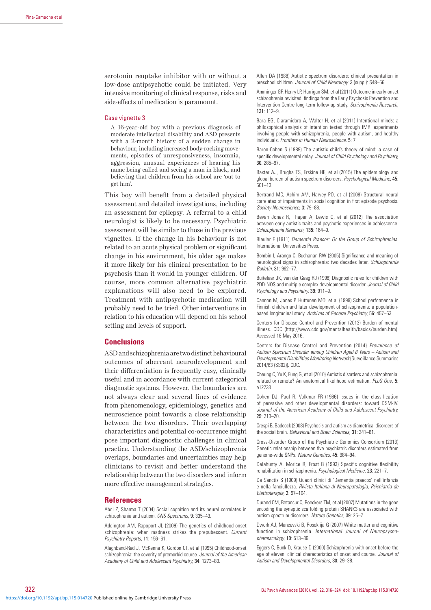serotonin reuptake inhibitor with or without a low-dose antipsychotic could be initiated. Very intensive monitoring of clinical response, risks and side-effects of medication is paramount.

#### Case vignette 3

A 16-year-old boy with a previous diagnosis of moderate intellectual disability and ASD presents with a 2-month history of a sudden change in behaviour, including increased body-rocking movements, episodes of unresponsiveness, insomnia, aggression, unusual experiences of hearing his name being called and seeing a man in black, and believing that children from his school are 'out to get him'.

This boy will benefit from a detailed physical assessment and detailed investigations, including an assessment for epilepsy. A referral to a child neurologist is likely to be necessary. Psychiatric assessment will be similar to those in the previous vignettes. If the change in his behaviour is not related to an acute physical problem or significant change in his environment, his older age makes it more likely for his clinical presentation to be psychosis than it would in younger children. Of course, more common alternative psychiatric explanations will also need to be explored. Treatment with antipsychotic medication will probably need to be tried. Other interventions in relation to his education will depend on his school setting and levels of support.

## **Conclusions**

ASD and schizophrenia are two distinct behavioural outcomes of aberrant neurodevelopment and their differentiation is frequently easy, clinically useful and in accordance with current categorical diagnostic systems. However, the boundaries are not always clear and several lines of evidence from phenomenology, epidemiology, genetics and neuroscience point towards a close relationship between the two disorders. Their overlapping characteristics and potential co-occurrence might pose important diagnostic challenges in clinical practice. Understanding the ASD/schizophrenia overlaps, boundaries and uncertainties may help clinicians to revisit and better understand the relationship between the two disorders and inform more effective management strategies.

#### **References**

Abdi Z, Sharma T (2004) Social cognition and its neural correlates in schizophrenia and autism. *CNS Spectrums,* 9: 335–43.

Addington AM, Rapoport JL (2009) The genetics of childhood-onset schizophrenia: when madness strikes the prepubescent. *Current Psychiatry Reports,* 11: 156–61.

Alaghband-Rad J, McKenna K, Gordon CT, et al (1995) Childhood-onset schizophrenia: the severity of premorbid course. *Journal of the American Academy of Child and Adolescent Psychiatry,* 34: 1273–83.

Allen DA (1988) Autistic spectrum disorders: clinical presentation in preschool children. *Journal of Child Neurology,* 3 (suppl): S48–56.

Amminger GP, Henry LP, Harrigan SM, et al (2011) Outcome in early-onset schizophrenia revisited: findings from the Early Psychosis Prevention and Intervention Centre long-term follow-up study. *Schizophrenia Research,*  131: 112–9.

Bara BG, Ciaramidaro A, Walter H, et al (2011) Intentional minds: a philosophical analysis of intention tested through fMRI experiments involving people with schizophrenia, people with autism, and healthy individuals. *Frontiers in Human Neuroscience,* 5: 7.

Baron-Cohen S (1989) The autistic child's theory of mind: a case of specific developmental delay. *Journal of Child Psychology and Psychiatry,* 30: 285–97.

Baxter AJ, Brugha TS, Erskine HE, et al (2015) The epidemiology and global burden of autism spectrum disorders. *Psychological Medicine,* 45: 601–13.

Bertrand MC, Achim AM, Harvey PO, et al (2008) Structural neural correlates of impairments in social cognition in first episode psychosis. *Society Neuroscience,* 3: 79–88.

Bevan Jones R, Thapar A, Lewis G, et al (2012) The association between early autistic traits and psychotic experiences in adolescence. *Schizophrenia Research,* 135: 164–9.

Bleuler E (1911) *Dementia Praecox: Or the Group of Schizophrenias*. International Universities Press.

Bombin I, Arango C, Buchanan RW (2005) Significance and meaning of neurological signs in schizophrenia: two decades later. *Schizophrenia Bulletin,* 31: 962–77.

Buitelaar JK, van der Gaag RJ (1998) Diagnostic rules for children with PDD-NOS and multiple complex developmental disorder. *Journal of Child Psychology and Psychiatry,* 39: 911–9.

Cannon M, Jones P, Huttunen MO, et al (1999) School performance in Finnish children and later development of schizophrenia: a populationbased longitudinal study. *Archives of General Psychiatry,* 56: 457–63.

Centers for Disease Control and Prevention (2013) Burden of mental illness. CDC (http://www.cdc.gov/mentalhealth/basics/burden.htm). Accessed 18 May 2016.

Centers for Disease Control and Prevention (2014) *Prevalence of Autism Spectrum Disorder among Children Aged 8 Years – Autism and Developmental Disabilities Monitoring Network* (Surveillance Summaries 2014/63 (SS02)). CDC.

Cheung C, Yu K, Fung G, et al (2010) Autistic disorders and schizophrenia: related or remote? An anatomical likelihood estimation. *PLoS One,* 5: e12233.

Cohen DJ, Paul R, Volkmar FR (1986) Issues in the classification of pervasive and other developmental disorders: toward DSM-IV. *Journal of the American Academy of Child and Adolescent Psychiatry,*  25: 213–20.

Crespi B, Badcock (2008) Psychosis and autism as diametrical disorders of the social brain. *Behavioral and Brain Sciences,* 31: 241–61.

Cross-Disorder Group of the Psychiatric Genomics Consortium (2013) Genetic relationship between five psychiatric disorders estimated from genome-wide SNPs. *Nature Genetics,* 45: 984–94.

Delahunty A, Morice R, Frost B (1993) Specific cognitive flexibility rehabilitation in schizophrenia. *Psychological Medicine,* 23: 221–7.

De Sanctis S (1909) Quadri clinici di 'Dementia praecox' nell'infanzia e nella fanciullezza. *Rivista Italiana di Neuropatologia, Psichiatria de Elettroterapia,* 2: 97–104.

Durand CM, Betancur C, Boeckers TM, et al (2007) Mutations in the gene encoding the synaptic scaffolding protein SHANK3 are associated with autism spectrum disorders. *Nature Genetics,* 39: 25–7.

Dwork AJ, Mancevski B, Rosoklija G (2007) White matter and cognitive function in schizophrenia. *International Journal of Neuropsychopharmacology,* 10: 513–36.

Eggers C, Bunk D, Krause D (2000) Schizophrenia with onset before the age of eleven: clinical characteristics of onset and course. *Journal of Autism and Developmental Disorders,* 30: 29–38.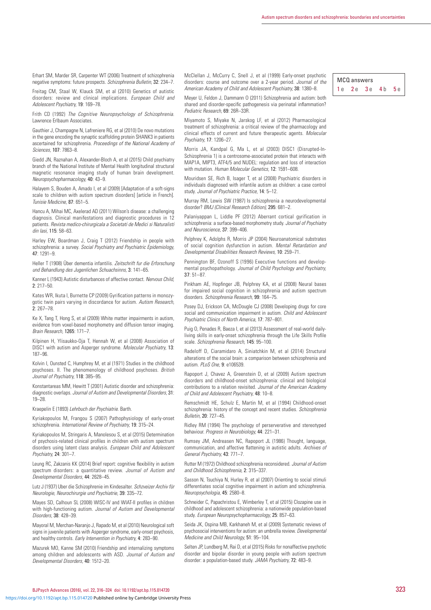Erhart SM, Marder SR, Carpenter WT (2006) Treatment of schizophrenia negative symptoms: future prospects. *Schizophrenia Bulletin,* 32: 234–7.

Freitag CM, Staal W, Klauck SM, et al (2010) Genetics of autistic disorders: review and clinical implications. *European Child and Adolescent Psychiatry,* 19: 169–78.

Frith CD (1992) *The Cognitive Neuropsychology of Schizophrenia*. Lawrence Erlbaum Associates.

Gauthier J, Champagne N, Lafreniere RG, et al (2010) De novo mutations in the gene encoding the synaptic scaffolding protein SHANK3 in patients ascertained for schizophrenia. *Proceedings of the National Academy of Sciences,* 107: 7863–8.

Giedd JN, Raznahan A, Alexander-Bloch A, et al (2015) Child psychiatry branch of the National Institute of Mental Health longitudinal structural magnetic resonance imaging study of human brain development. *Neuropsychopharmacology,* 40: 43–9.

Halayem S, Bouden A, Amado I, et al (2009) [Adaptation of a soft-signs scale to children with autism spectrum disorders] [article in French]. *Tunisie Medicine,* 87: 651–5.

Hancu A, Mihai MC, Axelerad AD (2011) Wilson's disease: a challenging diagnosis. Clinical manifestations and diagnostic procedures in 12 patients. *Revista medico-chirurgicala a Societati de Medici si Naturalisti din Iasi,* 115: 58–63.

Harley EW, Boardman J, Craig T (2012) Friendship in people with schizophrenia: a survey. *Social Psychiatry and Psychiatric Epidemiology,*  47: 1291–9.

Heller T (1908) Über dementia infantilis. *Zeitschrift fur die Erforschung und Behandlung des Jugenlichen Schuachsinns,* 3: 141–65.

Kanner L (1943) Autistic disturbances of affective contact. *Nervous Child,*  2: 217–50.

Kates WR, Ikuta I, Burnette CP (2009) Gyrification patterns in monozygotic twin pairs varying in discordance for autism. *Autism Research,*  2: 267–78.

Ke X, Tang T, Hong S, et al (2009) White matter impairments in autism, evidence from voxel-based morphometry and diffusion tensor imaging. *Brain Research,* 1265: 171–7.

Kilpinen H, Ylisaukko-Oja T, Hennah W, et al (2008) Association of DISC1 with autism and Asperger syndrome. *Molecular Psychiatry,* 13: 187–96.

Kolvin I, Ounsted C, Humphrey M, et al (1971) Studies in the childhood psychoses. II. The phenomenology of childhood psychoses. *British Journal of Psychiatry,* 118: 385–95.

Konstantareas MM, Hewitt T (2001) Autistic disorder and schizophrenia: diagnostic overlaps. *Journal of Autism and Developmental Disorders,* 31: 19–28.

Kraepelin E (1893) *Lehrbuch der Psychiatrie*. Barth.

Kyriakopoulos M, Frangou S (2007) Pathophysiology of early-onset schizophrenia. *International Review of Psychiatry,* 19: 315–24.

Kyriakopoulos M, Stringaris A, Manolesou S, et al (2015) Determination of psychosis-related clinical profiles in children with autism spectrum disorders using latent class analysis. *European Child and Adolescent Psychiatry,* 24: 301–7.

Leung RC, Zakzanis KK (2014) Brief report: cognitive flexibility in autism spectrum disorders: a quantitative review. *Journal of Autism and Developmental Disorders,* 44: 2628–45.

Lutz J (1937) Uber die Schizophrenie im Kindesalter. *Schzveizer Archiv für Neurologie, Neurochirurgie und Psychiatrie,* 39: 335–72.

Mayes SD, Calhoun SL (2008) WISC-IV and WIAT-II profiles in children with high-functioning autism. *Journal of Autism and Developmental Disorders,* 38: 428–39.

Mayoral M, Merchan-Naranjo J, Rapado M, et al (2010) Neurological soft signs in juvenile patients with Asperger syndrome, early-onset psychosis, and healthy controls. *Early Intervention in Psychiatry,* 4: 283–90.

Mazurek MO, Kanne SM (2010) Friendship and internalizing symptoms among children and adolescents with ASD. *Journal of Autism and Developmental Disorders,* 40: 1512–20.

McClellan J, McCurry C, Snell J, et al (1999) Early-onset psychotic disorders: course and outcome over a 2-year period. *Journal of the American Academy of Child and Adolescent Psychiatry,* 38: 1380–8.

Meyer U, Feldon J, Dammann O (2011) Schizophrenia and autism: both shared and disorder-specific pathogenesis via perinatal inflammation? *Pediatric Research,* 69: 26R–33R.

Miyamoto S, Miyake N, Jarskog LF, et al (2012) Pharmacological treatment of schizophrenia: a critical review of the pharmacology and clinical effects of current and future therapeutic agents. *Molecular Psychiatry,* 17: 1206–27.

Morris JA, Kandpal G, Ma L, et al (2003) DISC1 (Disrupted-In-Schizophrenia 1) is a centrosome-associated protein that interacts with MAP1A, MIPT3, ATF4/5 and NUDEL: regulation and loss of interaction with mutation. *Human Molecular Genetics,* 12: 1591–608.

Mouridsen SE, Rich B, Isager T, et al (2008) Psychiatric disorders in individuals diagnosed with infantile autism as children: a case control study. *Journal of Psychiatric Practice,* 14: 5–12.

Murray RM, Lewis SW (1987) Is schizophrenia a neurodevelopmental disorder? *BMJ (Clinical Research Edition),* 295: 681–2.

Palaniyappan L, Liddle PF (2012) Aberrant cortical gyrification in schizophrenia: a surface-based morphometry study. *Journal of Psychiatry and Neuroscience,* 37: 399–406.

Pelphrey K, Adolphs R, Morris JP (2004) Neuroanatomical substrates of social cognition dysfunction in autism. *Mental Retardation and Developmental Disabilities Research Reviews,* 10: 259–71.

Pennington BF, Ozonoff S (1996) Executive functions and developmental psychopathology. *Journal of Child Psychology and Psychiatry,*  37: 51–87.

Pinkham AE, Hopfinger JB, Pelphrey KA, et al (2008) Neural bases for impaired social cognition in schizophrenia and autism spectrum disorders. *Schizophrenia Research,* 99: 164–75.

Posey DJ, Erickson CA, McDougle CJ (2008) Developing drugs for core social and communication impairment in autism. *Child and Adolescent Psychiatric Clinics of North America,* 17: 787–801.

Puig O, Penades R, Baeza I, et al (2013) Assessment of real-world dailyliving skills in early-onset schizophrenia through the Life Skills Profile scale. *Schizophrenia Research,* 145: 95–100.

Radeloff D, Ciaramidaro A, Siniatchkin M, et al (2014) Structural alterations of the social brain: a comparison between schizophrenia and autism. *PLoS One,* 9: e106539.

Rapoport J, Chavez A, Greenstein D, et al (2009) Autism spectrum disorders and childhood-onset schizophrenia: clinical and biological contributions to a relation revisited. *Journal of the American Academy of Child and Adolescent Psychiatry,* 48: 10–8.

Remschmidt HE, Schulz E, Martin M, et al (1994) Childhood-onset schizophrenia: history of the concept and recent studies. *Schizophrenia Bulletin,* 20: 727–45.

Ridley RM (1994) The psychology of perserverative and stereotyped behaviour. *Progress in Neurobiology,* 44: 221–31.

Rumsey JM, Andreasen NC, Rapoport JL (1986) Thought, language, communication, and affective flattening in autistic adults. *Archives of General Psychiatry,* 43: 771–7.

Rutter M (1972) Childhood schizophrenia reconsidered. *Journal of Autism and Childhood Schizophrenia,* 2: 315–337.

Sasson N, Tsuchiya N, Hurley R, et al (2007) Orienting to social stimuli differentiates social cognitive impairment in autism and schizophrenia. *Neuropsychologia,* 45: 2580–8.

Schneider C, Papachristou E, Wimberley T, et al (2015) Clozapine use in childhood and adolescent schizophrenia: a nationwide population-based study. *European Neuropsychopharmacology,* 25: 857–63.

Seida JK, Ospina MB, Karkhaneh M, et al (2009) Systematic reviews of psychosocial interventions for autism: an umbrella review. *Developmental Medicine and Child Neurology,* 51: 95–104.

Selten JP, Lundberg M, Rai D, et al (2015) Risks for nonaffective psychotic disorder and bipolar disorder in young people with autism spectrum disorder: a population-based study. *JAMA Psychiatry,* 72: 483–9.

MCO answers 1e 2e 3e 4b 5e